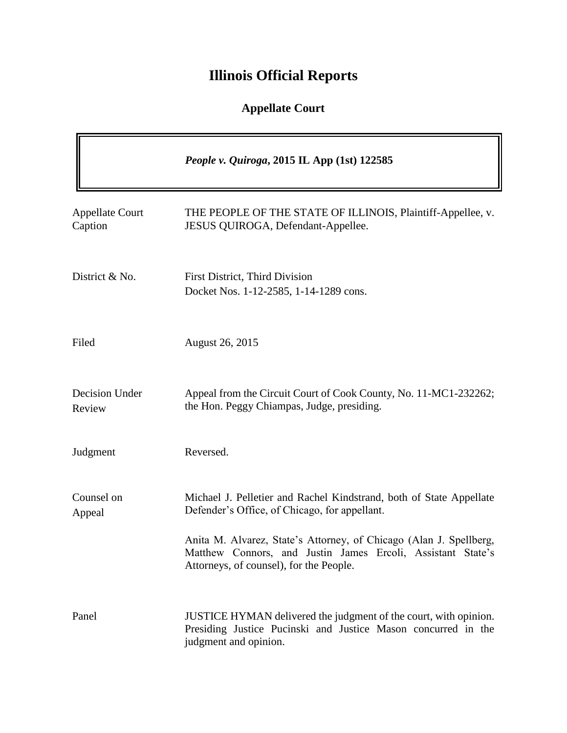# **Illinois Official Reports**

### **Appellate Court**

|                                   | People v. Quiroga, 2015 IL App (1st) 122585                                                                                                                                                                                                                                                          |
|-----------------------------------|------------------------------------------------------------------------------------------------------------------------------------------------------------------------------------------------------------------------------------------------------------------------------------------------------|
| <b>Appellate Court</b><br>Caption | THE PEOPLE OF THE STATE OF ILLINOIS, Plaintiff-Appellee, v.<br>JESUS QUIROGA, Defendant-Appellee.                                                                                                                                                                                                    |
| District & No.                    | First District, Third Division<br>Docket Nos. 1-12-2585, 1-14-1289 cons.                                                                                                                                                                                                                             |
| Filed                             | <b>August 26, 2015</b>                                                                                                                                                                                                                                                                               |
| Decision Under<br>Review          | Appeal from the Circuit Court of Cook County, No. 11-MC1-232262;<br>the Hon. Peggy Chiampas, Judge, presiding.                                                                                                                                                                                       |
| Judgment                          | Reversed.                                                                                                                                                                                                                                                                                            |
| Counsel on<br>Appeal              | Michael J. Pelletier and Rachel Kindstrand, both of State Appellate<br>Defender's Office, of Chicago, for appellant.<br>Anita M. Alvarez, State's Attorney, of Chicago (Alan J. Spellberg,<br>Matthew Connors, and Justin James Ercoli, Assistant State's<br>Attorneys, of counsel), for the People. |
| Panel                             | JUSTICE HYMAN delivered the judgment of the court, with opinion.<br>Presiding Justice Pucinski and Justice Mason concurred in the<br>judgment and opinion.                                                                                                                                           |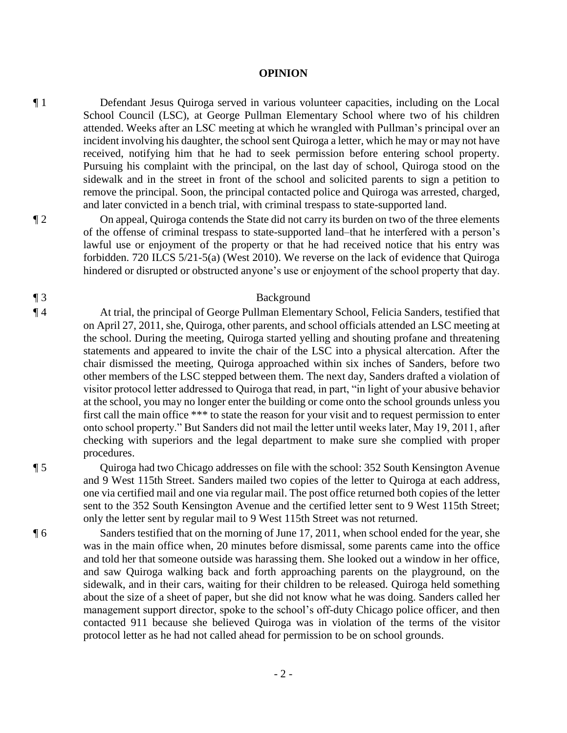#### **OPINION**

¶ 1 Defendant Jesus Quiroga served in various volunteer capacities, including on the Local School Council (LSC), at George Pullman Elementary School where two of his children attended. Weeks after an LSC meeting at which he wrangled with Pullman's principal over an incident involving his daughter, the school sent Quiroga a letter, which he may or may not have received, notifying him that he had to seek permission before entering school property. Pursuing his complaint with the principal, on the last day of school, Quiroga stood on the sidewalk and in the street in front of the school and solicited parents to sign a petition to remove the principal. Soon, the principal contacted police and Quiroga was arrested, charged, and later convicted in a bench trial, with criminal trespass to state-supported land.

¶ 2 On appeal, Quiroga contends the State did not carry its burden on two of the three elements of the offense of criminal trespass to state-supported land–that he interfered with a person's lawful use or enjoyment of the property or that he had received notice that his entry was forbidden. 720 ILCS 5/21-5(a) (West 2010). We reverse on the lack of evidence that Quiroga hindered or disrupted or obstructed anyone's use or enjoyment of the school property that day.

#### ¶ 3 Background

¶ 4 At trial, the principal of George Pullman Elementary School, Felicia Sanders, testified that on April 27, 2011, she, Quiroga, other parents, and school officials attended an LSC meeting at the school. During the meeting, Quiroga started yelling and shouting profane and threatening statements and appeared to invite the chair of the LSC into a physical altercation. After the chair dismissed the meeting, Quiroga approached within six inches of Sanders, before two other members of the LSC stepped between them. The next day, Sanders drafted a violation of visitor protocol letter addressed to Quiroga that read, in part, "in light of your abusive behavior at the school, you may no longer enter the building or come onto the school grounds unless you first call the main office \*\*\* to state the reason for your visit and to request permission to enter onto school property." But Sanders did not mail the letter until weeks later, May 19, 2011, after checking with superiors and the legal department to make sure she complied with proper procedures.

¶ 5 Quiroga had two Chicago addresses on file with the school: 352 South Kensington Avenue and 9 West 115th Street. Sanders mailed two copies of the letter to Quiroga at each address, one via certified mail and one via regular mail. The post office returned both copies of the letter sent to the 352 South Kensington Avenue and the certified letter sent to 9 West 115th Street; only the letter sent by regular mail to 9 West 115th Street was not returned.

¶ 6 Sanders testified that on the morning of June 17, 2011, when school ended for the year, she was in the main office when, 20 minutes before dismissal, some parents came into the office and told her that someone outside was harassing them. She looked out a window in her office, and saw Quiroga walking back and forth approaching parents on the playground, on the sidewalk, and in their cars, waiting for their children to be released. Quiroga held something about the size of a sheet of paper, but she did not know what he was doing. Sanders called her management support director, spoke to the school's off-duty Chicago police officer, and then contacted 911 because she believed Quiroga was in violation of the terms of the visitor protocol letter as he had not called ahead for permission to be on school grounds.

- 2 -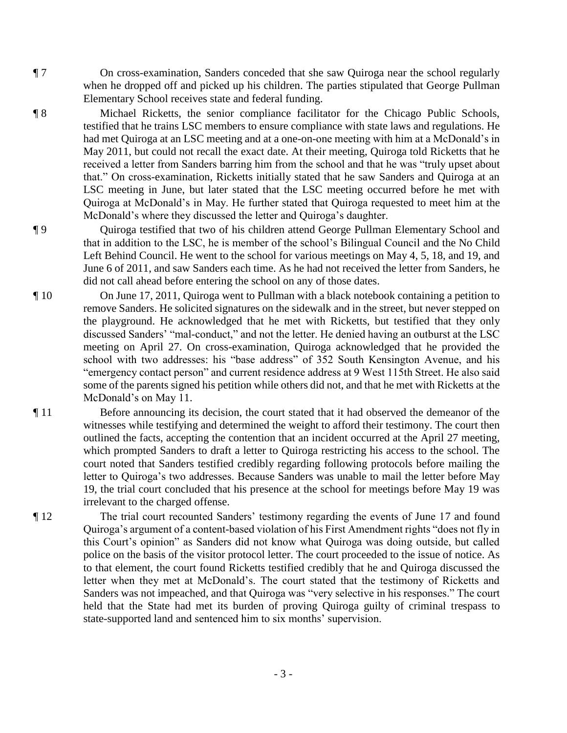¶ 7 On cross-examination, Sanders conceded that she saw Quiroga near the school regularly when he dropped off and picked up his children. The parties stipulated that George Pullman Elementary School receives state and federal funding.

- ¶ 8 Michael Ricketts, the senior compliance facilitator for the Chicago Public Schools, testified that he trains LSC members to ensure compliance with state laws and regulations. He had met Quiroga at an LSC meeting and at a one-on-one meeting with him at a McDonald's in May 2011, but could not recall the exact date. At their meeting, Quiroga told Ricketts that he received a letter from Sanders barring him from the school and that he was "truly upset about that." On cross-examination, Ricketts initially stated that he saw Sanders and Quiroga at an LSC meeting in June, but later stated that the LSC meeting occurred before he met with Quiroga at McDonald's in May. He further stated that Quiroga requested to meet him at the McDonald's where they discussed the letter and Quiroga's daughter.
- ¶ 9 Quiroga testified that two of his children attend George Pullman Elementary School and that in addition to the LSC, he is member of the school's Bilingual Council and the No Child Left Behind Council. He went to the school for various meetings on May 4, 5, 18, and 19, and June 6 of 2011, and saw Sanders each time. As he had not received the letter from Sanders, he did not call ahead before entering the school on any of those dates.
- ¶ 10 On June 17, 2011, Quiroga went to Pullman with a black notebook containing a petition to remove Sanders. He solicited signatures on the sidewalk and in the street, but never stepped on the playground. He acknowledged that he met with Ricketts, but testified that they only discussed Sanders' "mal-conduct," and not the letter. He denied having an outburst at the LSC meeting on April 27. On cross-examination, Quiroga acknowledged that he provided the school with two addresses: his "base address" of 352 South Kensington Avenue, and his "emergency contact person" and current residence address at 9 West 115th Street. He also said some of the parents signed his petition while others did not, and that he met with Ricketts at the McDonald's on May 11.
- ¶ 11 Before announcing its decision, the court stated that it had observed the demeanor of the witnesses while testifying and determined the weight to afford their testimony. The court then outlined the facts, accepting the contention that an incident occurred at the April 27 meeting, which prompted Sanders to draft a letter to Quiroga restricting his access to the school. The court noted that Sanders testified credibly regarding following protocols before mailing the letter to Quiroga's two addresses. Because Sanders was unable to mail the letter before May 19, the trial court concluded that his presence at the school for meetings before May 19 was irrelevant to the charged offense.
- ¶ 12 The trial court recounted Sanders' testimony regarding the events of June 17 and found Quiroga's argument of a content-based violation of his First Amendment rights "does not fly in this Court's opinion" as Sanders did not know what Quiroga was doing outside, but called police on the basis of the visitor protocol letter. The court proceeded to the issue of notice. As to that element, the court found Ricketts testified credibly that he and Quiroga discussed the letter when they met at McDonald's. The court stated that the testimony of Ricketts and Sanders was not impeached, and that Quiroga was "very selective in his responses." The court held that the State had met its burden of proving Quiroga guilty of criminal trespass to state-supported land and sentenced him to six months' supervision.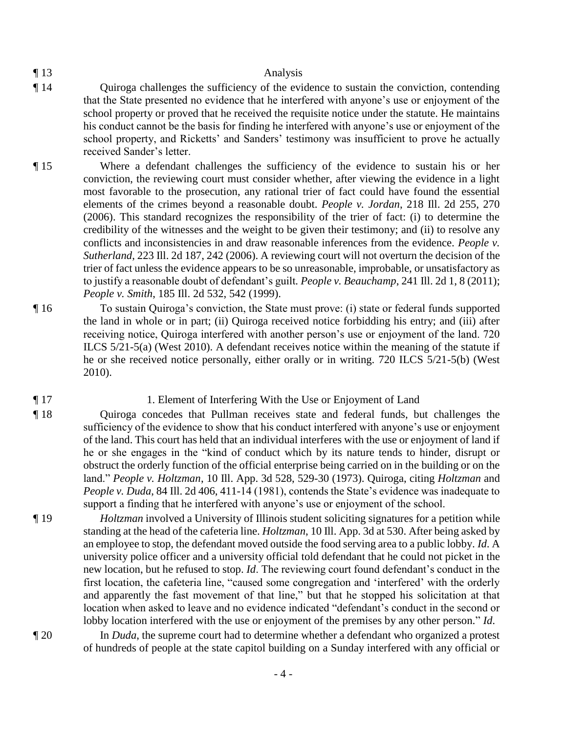#### ¶ 13 Analysis

- ¶ 14 Quiroga challenges the sufficiency of the evidence to sustain the conviction, contending that the State presented no evidence that he interfered with anyone's use or enjoyment of the school property or proved that he received the requisite notice under the statute. He maintains his conduct cannot be the basis for finding he interfered with anyone's use or enjoyment of the school property, and Ricketts' and Sanders' testimony was insufficient to prove he actually received Sander's letter.
- ¶ 15 Where a defendant challenges the sufficiency of the evidence to sustain his or her conviction, the reviewing court must consider whether, after viewing the evidence in a light most favorable to the prosecution, any rational trier of fact could have found the essential elements of the crimes beyond a reasonable doubt. *People v. Jordan*, 218 Ill. 2d 255, 270 (2006). This standard recognizes the responsibility of the trier of fact: (i) to determine the credibility of the witnesses and the weight to be given their testimony; and (ii) to resolve any conflicts and inconsistencies in and draw reasonable inferences from the evidence. *People v. Sutherland*, 223 Ill. 2d 187, 242 (2006). A reviewing court will not overturn the decision of the trier of fact unless the evidence appears to be so unreasonable, improbable, or unsatisfactory as to justify a reasonable doubt of defendant's guilt*. People v. Beauchamp*, 241 Ill. 2d 1, 8 (2011); *People v. Smith*, 185 Ill. 2d 532, 542 (1999).
- ¶ 16 To sustain Quiroga's conviction, the State must prove: (i) state or federal funds supported the land in whole or in part; (ii) Quiroga received notice forbidding his entry; and (iii) after receiving notice, Quiroga interfered with another person's use or enjoyment of the land. 720 ILCS 5/21-5(a) (West 2010). A defendant receives notice within the meaning of the statute if he or she received notice personally, either orally or in writing. 720 ILCS 5/21-5(b) (West 2010).

#### ¶ 17 1. Element of Interfering With the Use or Enjoyment of Land

¶ 18 Quiroga concedes that Pullman receives state and federal funds, but challenges the sufficiency of the evidence to show that his conduct interfered with anyone's use or enjoyment of the land. This court has held that an individual interferes with the use or enjoyment of land if he or she engages in the "kind of conduct which by its nature tends to hinder, disrupt or obstruct the orderly function of the official enterprise being carried on in the building or on the land." *People v. Holtzman*, 10 Ill. App. 3d 528, 529-30 (1973). Quiroga, citing *Holtzman* and *People v. Duda*, 84 Ill. 2d 406, 411-14 (1981), contends the State's evidence was inadequate to support a finding that he interfered with anyone's use or enjoyment of the school.

- ¶ 19 *Holtzman* involved a University of Illinois student soliciting signatures for a petition while standing at the head of the cafeteria line. *Holtzman*, 10 Ill. App. 3d at 530. After being asked by an employee to stop, the defendant moved outside the food serving area to a public lobby. *Id*. A university police officer and a university official told defendant that he could not picket in the new location, but he refused to stop. *Id*. The reviewing court found defendant's conduct in the first location, the cafeteria line, "caused some congregation and 'interfered' with the orderly and apparently the fast movement of that line," but that he stopped his solicitation at that location when asked to leave and no evidence indicated "defendant's conduct in the second or lobby location interfered with the use or enjoyment of the premises by any other person." *Id*.
- ¶ 20 In *Duda*, the supreme court had to determine whether a defendant who organized a protest of hundreds of people at the state capitol building on a Sunday interfered with any official or